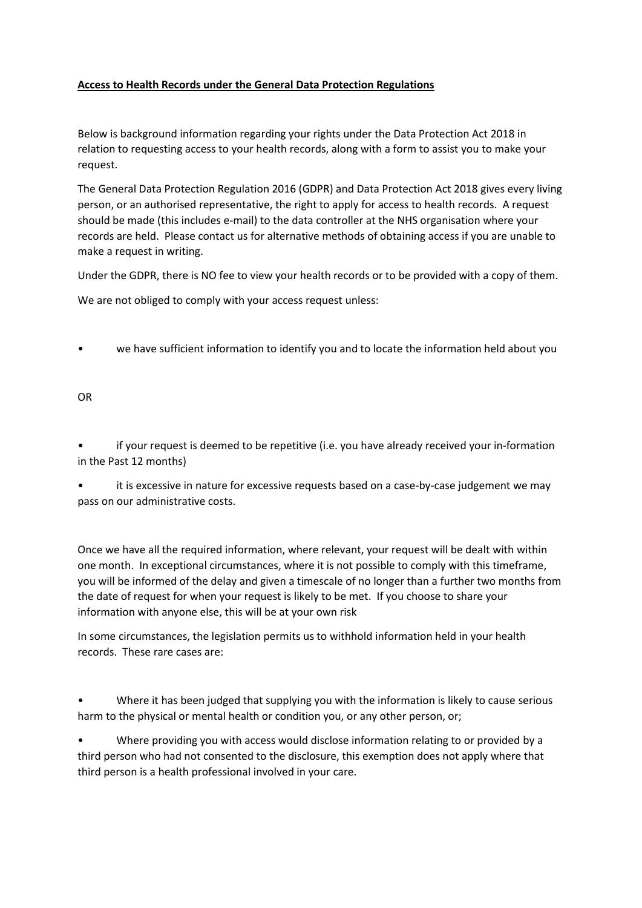## **Access to Health Records under the General Data Protection Regulations**

Below is background information regarding your rights under the Data Protection Act 2018 in relation to requesting access to your health records, along with a form to assist you to make your request.

The General Data Protection Regulation 2016 (GDPR) and Data Protection Act 2018 gives every living person, or an authorised representative, the right to apply for access to health records. A request should be made (this includes e-mail) to the data controller at the NHS organisation where your records are held. Please contact us for alternative methods of obtaining access if you are unable to make a request in writing.

Under the GDPR, there is NO fee to view your health records or to be provided with a copy of them.

We are not obliged to comply with your access request unless:

• we have sufficient information to identify you and to locate the information held about you

OR

• if your request is deemed to be repetitive (i.e. you have already received your in-formation in the Past 12 months)

• it is excessive in nature for excessive requests based on a case-by-case judgement we may pass on our administrative costs.

Once we have all the required information, where relevant, your request will be dealt with within one month. In exceptional circumstances, where it is not possible to comply with this timeframe, you will be informed of the delay and given a timescale of no longer than a further two months from the date of request for when your request is likely to be met. If you choose to share your information with anyone else, this will be at your own risk

In some circumstances, the legislation permits us to withhold information held in your health records. These rare cases are:

• Where it has been judged that supplying you with the information is likely to cause serious harm to the physical or mental health or condition you, or any other person, or;

• Where providing you with access would disclose information relating to or provided by a third person who had not consented to the disclosure, this exemption does not apply where that third person is a health professional involved in your care.